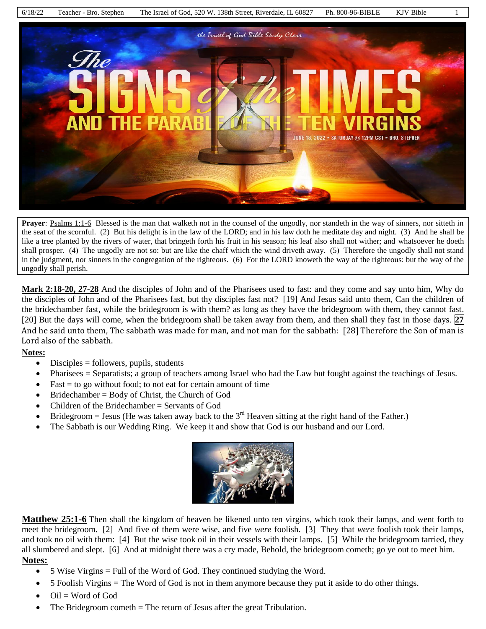6/18/22 Teacher - Bro. Stephen The Israel of God, 520 W. 138th Street, Riverdale, IL 60827 Ph. 800-96-BIBLE KJV Bible 1 the Trael of God Bible Study Clars JNE 18, 2022 - SATURDAY  $@$  12PM CST - BRO. STEPHEN

**Prayer**: Psalms 1:1-6 Blessed is the man that walketh not in the counsel of the ungodly, nor standeth in the way of sinners, nor sitteth in the seat of the scornful. (2) But his delight is in the law of the LORD; and in his law doth he meditate day and night. (3) And he shall be like a tree planted by the rivers of water, that bringeth forth his fruit in his season; his leaf also shall not wither; and whatsoever he doeth shall prosper. (4) The ungodly are not so: but are like the chaff which the wind driveth away. (5) Therefore the ungodly shall not stand in the judgment, nor sinners in the congregation of the righteous. (6) For the LORD knoweth the way of the righteous: but the way of the ungodly shall perish.

**Mark 2:18-20, 27-28** And the disciples of John and of the Pharisees used to fast: and they come and say unto him, Why do the disciples of John and of the Pharisees fast, but thy disciples fast not? [19] And Jesus said unto them, Can the children of the bridechamber fast, while the bridegroom is with them? as long as they have the bridegroom with them, they cannot fast. [20] But the days will come, when the bridegroom shall be taken away from them, and then shall they fast in those days. **27** And he said unto them, The sabbath was made for man, and not man for the sabbath: [28] Therefore the Son of man is Lord also of the sabbath.

# **Notes:**

- $\bullet$  Disciples = followers, pupils, students
- Pharisees = Separatists; a group of teachers among Israel who had the Law but fought against the teachings of Jesus.
- $\bullet$  Fast = to go without food; to not eat for certain amount of time
- Bridechamber = Body of Christ, the Church of God
- Children of the Bridechamber = Servants of God
- **•** Bridegroom = Jesus (He was taken away back to the 3<sup>rd</sup> Heaven sitting at the right hand of the Father.)
- The Sabbath is our Wedding Ring. We keep it and show that God is our husband and our Lord.



**Matthew 25:1-6** Then shall the kingdom of heaven be likened unto ten virgins, which took their lamps, and went forth to meet the bridegroom. [2] And five of them were wise, and five *were* foolish. [3] They that *were* foolish took their lamps, and took no oil with them: [4] But the wise took oil in their vessels with their lamps. [5] While the bridegroom tarried, they all slumbered and slept. [6] And at midnight there was a cry made, Behold, the bridegroom cometh; go ye out to meet him. **Notes:**

- $\bullet$  5 Wise Virgins = Full of the Word of God. They continued studying the Word.
- 5 Foolish Virgins = The Word of God is not in them anymore because they put it aside to do other things.
- Oil = Word of God
- The Bridegroom cometh = The return of Jesus after the great Tribulation.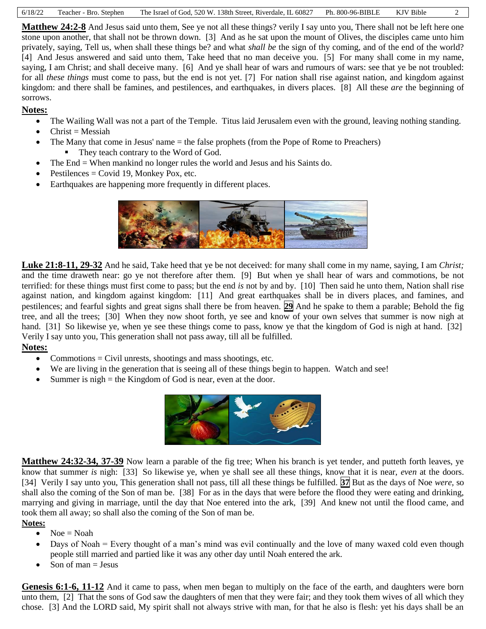| 6/18/22 | Teacher - Bro. Stephen | The Israel of God, 520 W, 138th Street, Riverdale, IL 60827 Ph. 800-96-BIBLE |  | KJV Bible |  |
|---------|------------------------|------------------------------------------------------------------------------|--|-----------|--|
|---------|------------------------|------------------------------------------------------------------------------|--|-----------|--|

**Matthew 24:2-8** And Jesus said unto them, See ye not all these things? verily I say unto you, There shall not be left here one stone upon another, that shall not be thrown down. [3] And as he sat upon the mount of Olives, the disciples came unto him privately, saying, Tell us, when shall these things be? and what *shall be* the sign of thy coming, and of the end of the world? [4] And Jesus answered and said unto them, Take heed that no man deceive you. [5] For many shall come in my name, saying, I am Christ; and shall deceive many. [6] And ye shall hear of wars and rumours of wars: see that ye be not troubled: for all *these things* must come to pass, but the end is not yet. [7] For nation shall rise against nation, and kingdom against kingdom: and there shall be famines, and pestilences, and earthquakes, in divers places. [8] All these *are* the beginning of sorrows.

# **Notes:**

- The Wailing Wall was not a part of the Temple. Titus laid Jerusalem even with the ground, leaving nothing standing.
- Christ = Messiah
- The Many that come in Jesus' name = the false prophets (from the Pope of Rome to Preachers) They teach contrary to the Word of God.
- The End = When mankind no longer rules the world and Jesus and his Saints do.
- $\bullet$  Pestilences = Covid 19, Monkey Pox, etc.
- Earthquakes are happening more frequently in different places.



**Luke 21:8-11, 29-32** And he said, Take heed that ye be not deceived: for many shall come in my name, saying, I am *Christ;* and the time draweth near: go ye not therefore after them. [9] But when ye shall hear of wars and commotions, be not terrified: for these things must first come to pass; but the end *is* not by and by. [10] Then said he unto them, Nation shall rise against nation, and kingdom against kingdom: [11] And great earthquakes shall be in divers places, and famines, and pestilences; and fearful sights and great signs shall there be from heaven. **29** And he spake to them a parable; Behold the fig tree, and all the trees; [30] When they now shoot forth, ye see and know of your own selves that summer is now nigh at hand. [31] So likewise ye, when ye see these things come to pass, know ye that the kingdom of God is nigh at hand. [32] Verily I say unto you, This generation shall not pass away, till all be fulfilled.

# **Notes:**

- Commotions  $=$  Civil unrests, shootings and mass shootings, etc.
- We are living in the generation that is seeing all of these things begin to happen. Watch and see!
- Summer is  $night = the Kingdom of God is near, even at the door.$



**Matthew 24:32-34, 37-39** Now learn a parable of the fig tree; When his branch is yet tender, and putteth forth leaves, ye know that summer *is* nigh: [33] So likewise ye, when ye shall see all these things, know that it is near, *even* at the doors. [34] Verily I say unto you, This generation shall not pass, till all these things be fulfilled. **37** But as the days of Noe *were,* so shall also the coming of the Son of man be. [38] For as in the days that were before the flood they were eating and drinking, marrying and giving in marriage, until the day that Noe entered into the ark, [39] And knew not until the flood came, and took them all away; so shall also the coming of the Son of man be.

#### **Notes:**

- $\bullet$  Noe = Noah
- Days of Noah = Every thought of a man's mind was evil continually and the love of many waxed cold even though people still married and partied like it was any other day until Noah entered the ark.
- Son of man  $=$  Jesus

**Genesis 6:1-6, 11-12** And it came to pass, when men began to multiply on the face of the earth, and daughters were born unto them, [2] That the sons of God saw the daughters of men that they were fair; and they took them wives of all which they chose. [3] And the LORD said, My spirit shall not always strive with man, for that he also is flesh: yet his days shall be an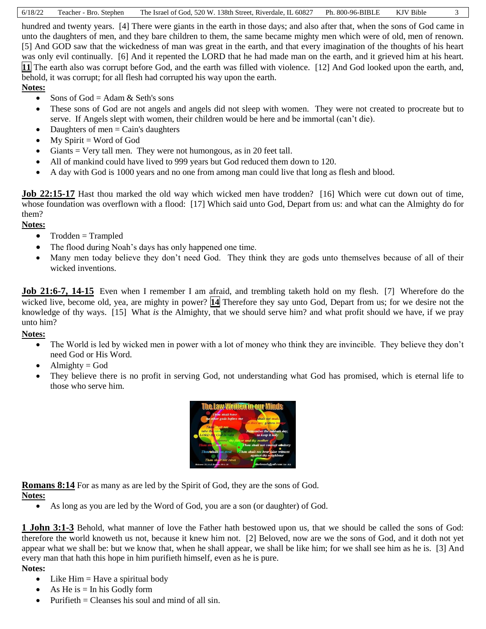|  | 6/18/22 Teacher - Bro. Stephen | The Israel of God, 520 W. 138th Street, Riverdale, IL 60827 Ph. 800-96-BIBLE KJV Bible |  |  |  |
|--|--------------------------------|----------------------------------------------------------------------------------------|--|--|--|
|--|--------------------------------|----------------------------------------------------------------------------------------|--|--|--|

hundred and twenty years. [4] There were giants in the earth in those days; and also after that, when the sons of God came in unto the daughters of men, and they bare children to them, the same became mighty men which were of old, men of renown. [5] And GOD saw that the wickedness of man was great in the earth, and that every imagination of the thoughts of his heart was only evil continually. [6] And it repented the LORD that he had made man on the earth, and it grieved him at his heart. **11** The earth also was corrupt before God, and the earth was filled with violence. [12] And God looked upon the earth, and, behold, it was corrupt; for all flesh had corrupted his way upon the earth.

### **Notes:**

- Sons of  $God = Adam & Seth's sons$
- These sons of God are not angels and angels did not sleep with women. They were not created to procreate but to serve. If Angels slept with women, their children would be here and be immortal (can't die).
- $\bullet$  Daughters of men = Cain's daughters
- $\bullet$  My Spirit = Word of God
- Giants = Very tall men. They were not humongous, as in 20 feet tall.
- All of mankind could have lived to 999 years but God reduced them down to 120.
- A day with God is 1000 years and no one from among man could live that long as flesh and blood.

**Job 22:15-17** Hast thou marked the old way which wicked men have trodden? [16] Which were cut down out of time, whose foundation was overflown with a flood: [17] Which said unto God, Depart from us: and what can the Almighty do for them?

### **Notes:**

- $\bullet$  Trodden = Trampled
- The flood during Noah's days has only happened one time.
- Many men today believe they don't need God. They think they are gods unto themselves because of all of their wicked inventions.

**Job 21:6-7, 14-15** Even when I remember I am afraid, and trembling taketh hold on my flesh. [7] Wherefore do the wicked live, become old, yea, are mighty in power? **14** Therefore they say unto God, Depart from us; for we desire not the knowledge of thy ways. [15] What *is* the Almighty, that we should serve him? and what profit should we have, if we pray unto him?

### **Notes:**

- The World is led by wicked men in power with a lot of money who think they are invincible. They believe they don't need God or His Word.
- $\bullet$  Almighty = God
- They believe there is no profit in serving God, not understanding what God has promised, which is eternal life to those who serve him.



**Romans 8:14** For as many as are led by the Spirit of God, they are the sons of God. **Notes:**

As long as you are led by the Word of God, you are a son (or daughter) of God.

**1 John 3:1-3** Behold, what manner of love the Father hath bestowed upon us, that we should be called the sons of God: therefore the world knoweth us not, because it knew him not. [2] Beloved, now are we the sons of God, and it doth not yet appear what we shall be: but we know that, when he shall appear, we shall be like him; for we shall see him as he is. [3] And every man that hath this hope in him purifieth himself, even as he is pure.

#### **Notes:**

- Like  $\text{Him} = \text{Have}$  a spiritual body
- As He is  $=$  In his Godly form
- Purifieth  $=$  Cleanses his soul and mind of all sin.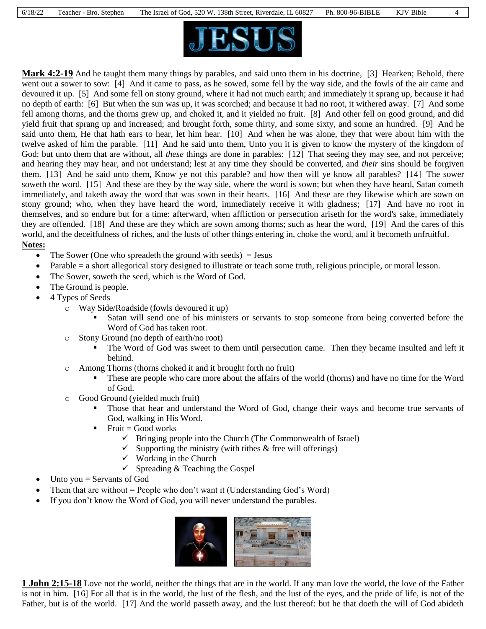



**Mark 4:2-19** And he taught them many things by parables, and said unto them in his doctrine, [3] Hearken; Behold, there went out a sower to sow: [4] And it came to pass, as he sowed, some fell by the way side, and the fowls of the air came and devoured it up. [5] And some fell on stony ground, where it had not much earth; and immediately it sprang up, because it had no depth of earth: [6] But when the sun was up, it was scorched; and because it had no root, it withered away. [7] And some fell among thorns, and the thorns grew up, and choked it, and it yielded no fruit. [8] And other fell on good ground, and did yield fruit that sprang up and increased; and brought forth, some thirty, and some sixty, and some an hundred. [9] And he said unto them, He that hath ears to hear, let him hear. [10] And when he was alone, they that were about him with the twelve asked of him the parable. [11] And he said unto them, Unto you it is given to know the mystery of the kingdom of God: but unto them that are without, all *these* things are done in parables: [12] That seeing they may see, and not perceive; and hearing they may hear, and not understand; lest at any time they should be converted, and *their* sins should be forgiven them. [13] And he said unto them, Know ye not this parable? and how then will ye know all parables? [14] The sower soweth the word. [15] And these are they by the way side, where the word is sown; but when they have heard, Satan cometh immediately, and taketh away the word that was sown in their hearts. [16] And these are they likewise which are sown on stony ground; who, when they have heard the word, immediately receive it with gladness; [17] And have no root in themselves, and so endure but for a time: afterward, when affliction or persecution ariseth for the word's sake, immediately they are offended. [18] And these are they which are sown among thorns; such as hear the word, [19] And the cares of this world, and the deceitfulness of riches, and the lusts of other things entering in, choke the word, and it becometh unfruitful.

### **Notes:**

- The Sower (One who spreadeth the ground with seeds)  $=$  Jesus
- Parable = a short allegorical story designed to illustrate or teach some truth, religious principle, or moral lesson.
- The Sower, soweth the seed, which is the Word of God.
- The Ground is people.
- 4 Types of Seeds
	- o Way Side/Roadside (fowls devoured it up)
		- Satan will send one of his ministers or servants to stop someone from being converted before the Word of God has taken root.
	- o Stony Ground (no depth of earth/no root)
		- The Word of God was sweet to them until persecution came. Then they became insulted and left it behind.
	- o Among Thorns (thorns choked it and it brought forth no fruit)
		- These are people who care more about the affairs of the world (thorns) and have no time for the Word of God.
	- o Good Ground (yielded much fruit)
		- Those that hear and understand the Word of God, change their ways and become true servants of God, walking in His Word.
		- Fruit = Good works
			- $\checkmark$  Bringing people into the Church (The Commonwealth of Israel)
			- $\checkmark$  Supporting the ministry (with tithes & free will offerings)
			- $\checkmark$  Working in the Church
			- $\checkmark$  Spreading & Teaching the Gospel
- Unto you = Servants of God
- Them that are without  $=$  People who don't want it (Understanding God's Word)
- If you don't know the Word of God, you will never understand the parables.



**1 John 2:15-18** Love not the world, neither the things that are in the world. If any man love the world, the love of the Father is not in him. [16] For all that is in the world, the lust of the flesh, and the lust of the eyes, and the pride of life, is not of the Father, but is of the world. [17] And the world passeth away, and the lust thereof: but he that doeth the will of God abideth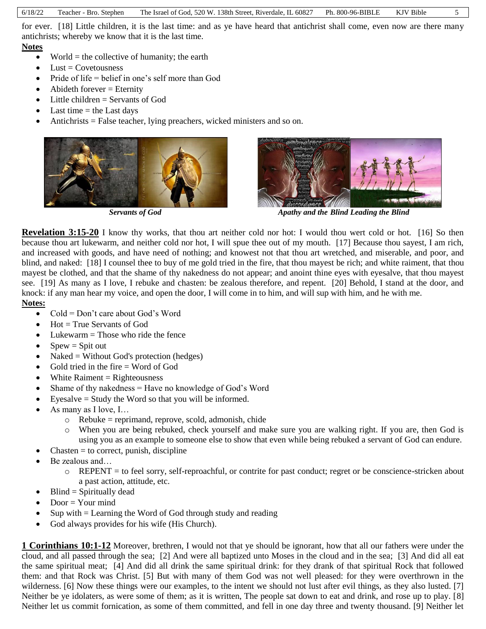for ever. [18] Little children, it is the last time: and as ye have heard that antichrist shall come, even now are there many antichrists; whereby we know that it is the last time.

#### **Notes**

- World  $=$  the collective of humanity; the earth
- $\bullet$  Lust = Covetousness
- Pride of life = belief in one's self more than God
- $\bullet$  Abideth forever = Eternity
- $\bullet$  Little children = Servants of God
- $\bullet$  Last time = the Last days
- Antichrists = False teacher, lying preachers, wicked ministers and so on.





*Servants of God* **Apathy** *Apathy and the Blind Leading the Blind* 

**Revelation** 3:15-20 I know thy works, that thou art neither cold nor hot: I would thou wert cold or hot. [16] So then because thou art lukewarm, and neither cold nor hot, I will spue thee out of my mouth. [17] Because thou sayest, I am rich, and increased with goods, and have need of nothing; and knowest not that thou art wretched, and miserable, and poor, and blind, and naked: [18] I counsel thee to buy of me gold tried in the fire, that thou mayest be rich; and white raiment, that thou mayest be clothed, and that the shame of thy nakedness do not appear; and anoint thine eyes with eyesalve, that thou mayest see. [19] As many as I love, I rebuke and chasten: be zealous therefore, and repent. [20] Behold, I stand at the door, and knock: if any man hear my voice, and open the door, I will come in to him, and will sup with him, and he with me. **Notes:**

- Cold = Don't care about God's Word
- $\bullet$  Hot = True Servants of God
- $\bullet$  Lukewarm = Those who ride the fence
- $S<sub>pew</sub> = S<sub>pi</sub>$  spit out
- Naked = Without God's protection (hedges)
- Gold tried in the fire  $=$  Word of God
- $\bullet$  White Raiment = Righteousness
- Shame of thy nakedness = Have no knowledge of God's Word
- Eyesalve = Study the Word so that you will be informed.
- As many as I love, I…
	- $\circ$  Rebuke = reprimand, reprove, scold, admonish, chide
	- o When you are being rebuked, check yourself and make sure you are walking right. If you are, then God is using you as an example to someone else to show that even while being rebuked a servant of God can endure.
- $Chasten = to correct, punish, discipline$
- Be zealous and…
	- $\circ$  REPENT = to feel sorry, self-reproachful, or contrite for past conduct; regret or be conscience-stricken about a past action, attitude, etc.
- $\bullet$  Blind = Spiritually dead
- Door = Your mind
- Sup with = Learning the Word of God through study and reading
- God always provides for his wife (His Church).

**1 Corinthians 10:1-12** Moreover, brethren, I would not that ye should be ignorant, how that all our fathers were under the cloud, and all passed through the sea; [2] And were all baptized unto Moses in the cloud and in the sea; [3] And did all eat the same spiritual meat; [4] And did all drink the same spiritual drink: for they drank of that spiritual Rock that followed them: and that Rock was Christ. [5] But with many of them God was not well pleased: for they were overthrown in the wilderness. [6] Now these things were our examples, to the intent we should not lust after evil things, as they also lusted. [7] Neither be ye idolaters, as were some of them; as it is written, The people sat down to eat and drink, and rose up to play. [8] Neither let us commit fornication, as some of them committed, and fell in one day three and twenty thousand. [9] Neither let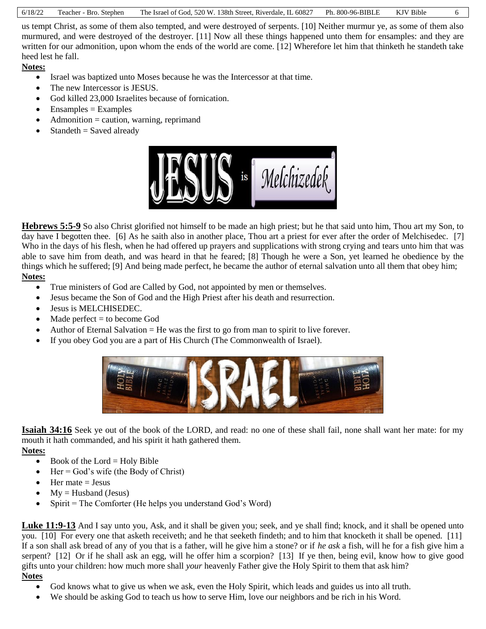|  | 6/18/22 Teacher - Bro. Stephen | The Israel of God, 520 W. 138th Street, Riverdale, IL 60827 Ph. 800-96-BIBLE KJV Bible |  |  |  |
|--|--------------------------------|----------------------------------------------------------------------------------------|--|--|--|
|--|--------------------------------|----------------------------------------------------------------------------------------|--|--|--|

us tempt Christ, as some of them also tempted, and were destroyed of serpents. [10] Neither murmur ye, as some of them also murmured, and were destroyed of the destroyer. [11] Now all these things happened unto them for ensamples: and they are written for our admonition, upon whom the ends of the world are come. [12] Wherefore let him that thinketh he standeth take heed lest he fall.

**Notes:**

- Israel was baptized unto Moses because he was the Intercessor at that time.
- The new Intercessor is JESUS.
- God killed 23,000 Israelites because of fornication.
- $\bullet$  Ensamples = Examples
- $\bullet$  Admonition = caution, warning, reprimand
- $\bullet$  Standeth = Saved already



**Hebrews 5:5-9** So also Christ glorified not himself to be made an high priest; but he that said unto him, Thou art my Son, to day have I begotten thee. [6] As he saith also in another place, Thou art a priest for ever after the order of Melchisedec. [7] Who in the days of his flesh, when he had offered up prayers and supplications with strong crying and tears unto him that was able to save him from death, and was heard in that he feared; [8] Though he were a Son, yet learned he obedience by the things which he suffered; [9] And being made perfect, he became the author of eternal salvation unto all them that obey him; **Notes:**

- True ministers of God are Called by God, not appointed by men or themselves.
- Jesus became the Son of God and the High Priest after his death and resurrection.
- Jesus is MELCHISEDEC.
- $\bullet$  Made perfect = to become God
- Author of Eternal Salvation = He was the first to go from man to spirit to live forever.
- If you obey God you are a part of His Church (The Commonwealth of Israel).



**Isaiah 34:16** Seek ye out of the book of the LORD, and read: no one of these shall fail, none shall want her mate: for my mouth it hath commanded, and his spirit it hath gathered them.

- **Notes:**
	- $\bullet$  Book of the Lord = Holy Bible
	- $\bullet$  Her = God's wife (the Body of Christ)
	- $\bullet$  Her mate = Jesus
	- $My = Husband (Jesus)$
	- $\bullet$  Spirit = The Comforter (He helps you understand God's Word)

**Luke 11:9-13** And I say unto you, Ask, and it shall be given you; seek, and ye shall find; knock, and it shall be opened unto you. [10] For every one that asketh receiveth; and he that seeketh findeth; and to him that knocketh it shall be opened. [11] If a son shall ask bread of any of you that is a father, will he give him a stone? or if *he ask* a fish, will he for a fish give him a serpent? [12] Or if he shall ask an egg, will he offer him a scorpion? [13] If ye then, being evil, know how to give good gifts unto your children: how much more shall *your* heavenly Father give the Holy Spirit to them that ask him?

# **Notes**

- God knows what to give us when we ask, even the Holy Spirit, which leads and guides us into all truth.
- We should be asking God to teach us how to serve Him, love our neighbors and be rich in his Word.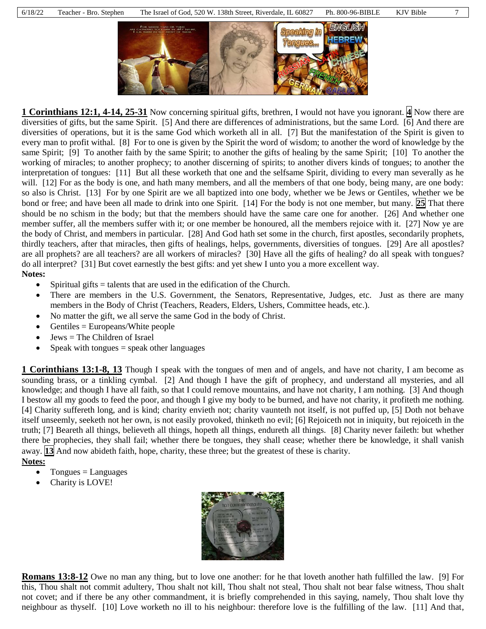

**1 Corinthians 12:1, 4-14, 25-31** Now concerning spiritual gifts, brethren, I would not have you ignorant. **4** Now there are diversities of gifts, but the same Spirit. [5] And there are differences of administrations, but the same Lord. [6] And there are diversities of operations, but it is the same God which worketh all in all. [7] But the manifestation of the Spirit is given to every man to profit withal. [8] For to one is given by the Spirit the word of wisdom; to another the word of knowledge by the same Spirit; [9] To another faith by the same Spirit; to another the gifts of healing by the same Spirit; [10] To another the working of miracles; to another prophecy; to another discerning of spirits; to another divers kinds of tongues; to another the interpretation of tongues: [11] But all these worketh that one and the selfsame Spirit, dividing to every man severally as he will. [12] For as the body is one, and hath many members, and all the members of that one body, being many, are one body: so also is Christ. [13] For by one Spirit are we all baptized into one body, whether we be Jews or Gentiles, whether we be bond or free; and have been all made to drink into one Spirit. [14] For the body is not one member, but many. **25** That there should be no schism in the body; but that the members should have the same care one for another. [26] And whether one member suffer, all the members suffer with it; or one member be honoured, all the members rejoice with it. [27] Now ye are the body of Christ, and members in particular. [28] And God hath set some in the church, first apostles, secondarily prophets, thirdly teachers, after that miracles, then gifts of healings, helps, governments, diversities of tongues. [29] Are all apostles? are all prophets? are all teachers? are all workers of miracles? [30] Have all the gifts of healing? do all speak with tongues? do all interpret? [31] But covet earnestly the best gifts: and yet shew I unto you a more excellent way.

**Notes:**

- $\bullet$  Spiritual gifts = talents that are used in the edification of the Church.
- There are members in the U.S. Government, the Senators, Representative, Judges, etc. Just as there are many members in the Body of Christ (Teachers, Readers, Elders, Ushers, Committee heads, etc.).
- No matter the gift, we all serve the same God in the body of Christ.
- Gentiles = Europeans/White people
- Jews = The Children of Israel
- Speak with tongues = speak other languages

**1 Corinthians 13:1-8, 13** Though I speak with the tongues of men and of angels, and have not charity, I am become as sounding brass, or a tinkling cymbal. [2] And though I have the gift of prophecy, and understand all mysteries, and all knowledge; and though I have all faith, so that I could remove mountains, and have not charity, I am nothing. [3] And though I bestow all my goods to feed the poor, and though I give my body to be burned, and have not charity, it profiteth me nothing. [4] Charity suffereth long, and is kind; charity envieth not; charity vaunteth not itself, is not puffed up, [5] Doth not behave itself unseemly, seeketh not her own, is not easily provoked, thinketh no evil; [6] Rejoiceth not in iniquity, but rejoiceth in the truth; [7] Beareth all things, believeth all things, hopeth all things, endureth all things. [8] Charity never faileth: but whether there be prophecies, they shall fail; whether there be tongues, they shall cease; whether there be knowledge, it shall vanish away. **13** And now abideth faith, hope, charity, these three; but the greatest of these is charity. **Notes:**

- Tongues = Languages
- 
- Charity is LOVE!



**Romans 13:8-12** Owe no man any thing, but to love one another: for he that loveth another hath fulfilled the law. [9] For this, Thou shalt not commit adultery, Thou shalt not kill, Thou shalt not steal, Thou shalt not bear false witness, Thou shalt not covet; and if there be any other commandment, it is briefly comprehended in this saying, namely, Thou shalt love thy neighbour as thyself. [10] Love worketh no ill to his neighbour: therefore love is the fulfilling of the law. [11] And that,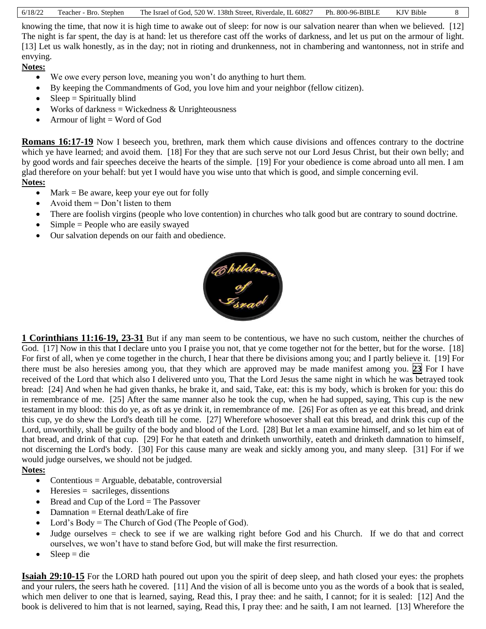| 6/18/22 | Teacher - Bro. Stephen | The Israel of God, 520 W. 138th Street, Riverdale, IL 60827 Ph. 800-96-BIBLE KJV Bible |  |  | 8 |
|---------|------------------------|----------------------------------------------------------------------------------------|--|--|---|
|---------|------------------------|----------------------------------------------------------------------------------------|--|--|---|

knowing the time, that now it is high time to awake out of sleep: for now is our salvation nearer than when we believed. [12] The night is far spent, the day is at hand: let us therefore cast off the works of darkness, and let us put on the armour of light. [13] Let us walk honestly, as in the day; not in rioting and drunkenness, not in chambering and wantonness, not in strife and envying.

**Notes:**

- We owe every person love, meaning you won't do anything to hurt them.
- By keeping the Commandments of God, you love him and your neighbor (fellow citizen).
- $\bullet$  Sleep = Spiritually blind
- $\bullet$  Works of darkness = Wickedness & Unrighteousness
- Armour of light  $=$  Word of God

**Romans 16:17-19** Now I beseech you, brethren, mark them which cause divisions and offences contrary to the doctrine which ye have learned; and avoid them. [18] For they that are such serve not our Lord Jesus Christ, but their own belly; and by good words and fair speeches deceive the hearts of the simple. [19] For your obedience is come abroad unto all men. I am glad therefore on your behalf: but yet I would have you wise unto that which is good, and simple concerning evil. **Notes:**

- $Mark = Be$  aware, keep your eye out for folly
- Avoid them  $=$  Don't listen to them
- There are foolish virgins (people who love contention) in churches who talk good but are contrary to sound doctrine.
- $\bullet$  Simple = People who are easily swayed
- Our salvation depends on our faith and obedience.



**1 Corinthians 11:16-19, 23-31** But if any man seem to be contentious, we have no such custom, neither the churches of God. [17] Now in this that I declare unto you I praise you not, that ye come together not for the better, but for the worse. [18] For first of all, when ye come together in the church, I hear that there be divisions among you; and I partly believe it. [19] For there must be also heresies among you, that they which are approved may be made manifest among you. **23** For I have received of the Lord that which also I delivered unto you, That the Lord Jesus the same night in which he was betrayed took bread: [24] And when he had given thanks, he brake it, and said, Take, eat: this is my body, which is broken for you: this do in remembrance of me. [25] After the same manner also he took the cup, when he had supped, saying, This cup is the new testament in my blood: this do ye, as oft as ye drink it, in remembrance of me. [26] For as often as ye eat this bread, and drink this cup, ye do shew the Lord's death till he come. [27] Wherefore whosoever shall eat this bread, and drink this cup of the Lord, unworthily, shall be guilty of the body and blood of the Lord. [28] But let a man examine himself, and so let him eat of that bread, and drink of that cup. [29] For he that eateth and drinketh unworthily, eateth and drinketh damnation to himself, not discerning the Lord's body. [30] For this cause many are weak and sickly among you, and many sleep. [31] For if we would judge ourselves, we should not be judged.

### **Notes:**

- Contentious  $=$  Arguable, debatable, controversial
- $\bullet$  Heresies = sacrileges, dissentions
- $\bullet$  Bread and Cup of the Lord = The Passover
- $\bullet$  Damnation = Eternal death/Lake of fire
- Lord's Body = The Church of God (The People of God).
- Judge ourselves = check to see if we are walking right before God and his Church. If we do that and correct ourselves, we won't have to stand before God, but will make the first resurrection.
- $Sleep = die$

**Isaiah 29:10-15** For the LORD hath poured out upon you the spirit of deep sleep, and hath closed your eyes: the prophets and your rulers, the seers hath he covered. [11] And the vision of all is become unto you as the words of a book that is sealed, which men deliver to one that is learned, saying, Read this, I pray thee: and he saith, I cannot; for it is sealed: [12] And the book is delivered to him that is not learned, saying, Read this, I pray thee: and he saith, I am not learned. [13] Wherefore the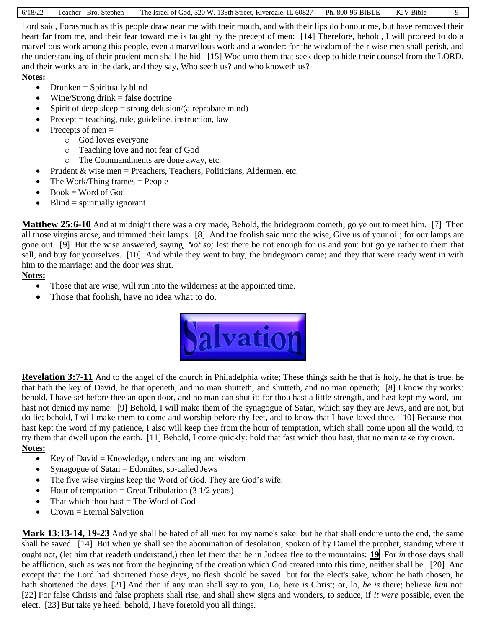| 6/18/22 | Teacher - Bro. Stephen | The Israel of God, 520 W. 138th Street, Riverdale, IL 60827 Ph. 800-96-BIBLE |  | KJV Bible |  |
|---------|------------------------|------------------------------------------------------------------------------|--|-----------|--|
|---------|------------------------|------------------------------------------------------------------------------|--|-----------|--|

Lord said, Forasmuch as this people draw near me with their mouth, and with their lips do honour me, but have removed their heart far from me, and their fear toward me is taught by the precept of men: [14] Therefore, behold, I will proceed to do a marvellous work among this people, even a marvellous work and a wonder: for the wisdom of their wise men shall perish, and the understanding of their prudent men shall be hid. [15] Woe unto them that seek deep to hide their counsel from the LORD, and their works are in the dark, and they say, Who seeth us? and who knoweth us?

#### **Notes:**

- $\bullet$  Drunken = Spiritually blind
- $\bullet$  Wine/Strong drink = false doctrine
- Spirit of deep sleep  $=$  strong delusion/(a reprobate mind)
- Precept = teaching, rule, guideline, instruction, law
- Precepts of men  $=$ 
	- o God loves everyone
	- o Teaching love and not fear of God
	- o The Commandments are done away, etc.
- Prudent  $&$  wise men = Preachers, Teachers, Politicians, Aldermen, etc.
- $\bullet$  The Work/Thing frames = People
- $\bullet$  Book = Word of God
- $\bullet$  Blind = spiritually ignorant

**Matthew 25:6-10** And at midnight there was a cry made, Behold, the bridegroom cometh; go ye out to meet him. [7] Then all those virgins arose, and trimmed their lamps. [8] And the foolish said unto the wise, Give us of your oil; for our lamps are gone out. [9] But the wise answered, saying, *Not so;* lest there be not enough for us and you: but go ye rather to them that sell, and buy for yourselves. [10] And while they went to buy, the bridegroom came; and they that were ready went in with him to the marriage: and the door was shut.

### **Notes:**

- Those that are wise, will run into the wilderness at the appointed time.
- Those that foolish, have no idea what to do.



**Revelation 3:7-11** And to the angel of the church in Philadelphia write; These things saith he that is holy, he that is true, he that hath the key of David, he that openeth, and no man shutteth; and shutteth, and no man openeth; [8] I know thy works: behold, I have set before thee an open door, and no man can shut it: for thou hast a little strength, and hast kept my word, and hast not denied my name. [9] Behold, I will make them of the synagogue of Satan, which say they are Jews, and are not, but do lie; behold, I will make them to come and worship before thy feet, and to know that I have loved thee. [10] Because thou hast kept the word of my patience, I also will keep thee from the hour of temptation, which shall come upon all the world, to try them that dwell upon the earth. [11] Behold, I come quickly: hold that fast which thou hast, that no man take thy crown. **Notes:**

- Executive Key of David = Knowledge, understanding and wisdom
- Synagogue of Satan  $=$  Edomites, so-called Jews
- The five wise virgins keep the Word of God. They are God's wife.
- Hour of temptation = Great Tribulation  $(3\ 1/2\ \text{years})$
- That which thou has  $=$  The Word of God
- Crown = Eternal Salvation

**Mark 13:13-14, 19-23** And ye shall be hated of all *men* for my name's sake: but he that shall endure unto the end, the same shall be saved. [14] But when ye shall see the abomination of desolation, spoken of by Daniel the prophet, standing where it ought not, (let him that readeth understand,) then let them that be in Judaea flee to the mountains: **19** For *in* those days shall be affliction, such as was not from the beginning of the creation which God created unto this time, neither shall be. [20] And except that the Lord had shortened those days, no flesh should be saved: but for the elect's sake, whom he hath chosen, he hath shortened the days. [21] And then if any man shall say to you, Lo, here *is* Christ; or, lo, *he is* there; believe *him* not: [22] For false Christs and false prophets shall rise, and shall shew signs and wonders, to seduce, if *it were* possible, even the elect. [23] But take ye heed: behold, I have foretold you all things.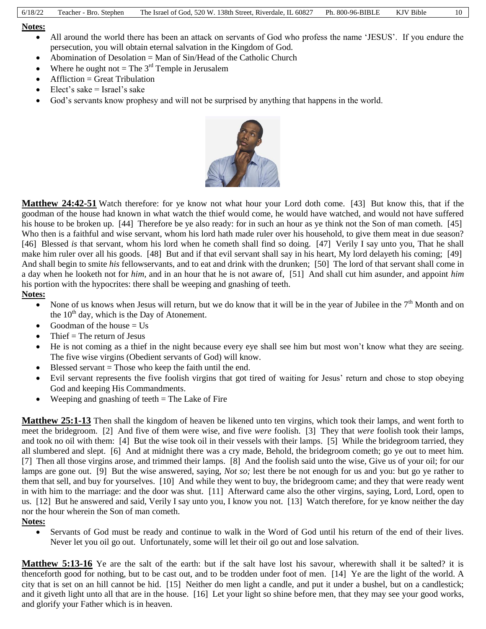#### **Notes:**

- All around the world there has been an attack on servants of God who profess the name 'JESUS'. If you endure the persecution, you will obtain eternal salvation in the Kingdom of God.
- Abomination of Desolation  $=$  Man of Sin/Head of the Catholic Church
- Where he ought not  $=$  The  $3<sup>rd</sup>$  Temple in Jerusalem
- $\bullet$  Affliction = Great Tribulation
- Elect's sake = Israel's sake
- God's servants know prophesy and will not be surprised by anything that happens in the world.



**Matthew 24:42-51** Watch therefore: for ye know not what hour your Lord doth come. [43] But know this, that if the goodman of the house had known in what watch the thief would come, he would have watched, and would not have suffered his house to be broken up. [44] Therefore be ye also ready: for in such an hour as ye think not the Son of man cometh. [45] Who then is a faithful and wise servant, whom his lord hath made ruler over his household, to give them meat in due season? [46] Blessed *is* that servant, whom his lord when he cometh shall find so doing. [47] Verily I say unto you, That he shall make him ruler over all his goods. [48] But and if that evil servant shall say in his heart, My lord delayeth his coming; [49] And shall begin to smite *his* fellowservants, and to eat and drink with the drunken; [50] The lord of that servant shall come in a day when he looketh not for *him,* and in an hour that he is not aware of, [51] And shall cut him asunder, and appoint *him* his portion with the hypocrites: there shall be weeping and gnashing of teeth.

### **Notes:**

- None of us knows when Jesus will return, but we do know that it will be in the year of Jubilee in the  $7<sup>th</sup>$  Month and on the  $10<sup>th</sup>$  day, which is the Day of Atonement.
- Goodman of the house  $=$  Us
- Thief  $=$  The return of Jesus
- He is not coming as a thief in the night because every eye shall see him but most won't know what they are seeing. The five wise virgins (Obedient servants of God) will know.
- $\bullet$  Blessed servant = Those who keep the faith until the end.
- Evil servant represents the five foolish virgins that got tired of waiting for Jesus' return and chose to stop obeying God and keeping His Commandments.
- $\bullet$  Weeping and gnashing of teeth = The Lake of Fire

**Matthew 25:1-13** Then shall the kingdom of heaven be likened unto ten virgins, which took their lamps, and went forth to meet the bridegroom. [2] And five of them were wise, and five *were* foolish. [3] They that *were* foolish took their lamps, and took no oil with them: [4] But the wise took oil in their vessels with their lamps. [5] While the bridegroom tarried, they all slumbered and slept. [6] And at midnight there was a cry made, Behold, the bridegroom cometh; go ye out to meet him. [7] Then all those virgins arose, and trimmed their lamps. [8] And the foolish said unto the wise, Give us of your oil; for our lamps are gone out. [9] But the wise answered, saying, *Not so;* lest there be not enough for us and you: but go ye rather to them that sell, and buy for yourselves. [10] And while they went to buy, the bridegroom came; and they that were ready went in with him to the marriage: and the door was shut. [11] Afterward came also the other virgins, saying, Lord, Lord, open to us. [12] But he answered and said, Verily I say unto you, I know you not. [13] Watch therefore, for ye know neither the day nor the hour wherein the Son of man cometh.

### **Notes:**

 Servants of God must be ready and continue to walk in the Word of God until his return of the end of their lives. Never let you oil go out. Unfortunately, some will let their oil go out and lose salvation.

**Matthew 5:13-16** Ye are the salt of the earth: but if the salt have lost his savour, wherewith shall it be salted? it is thenceforth good for nothing, but to be cast out, and to be trodden under foot of men. [14] Ye are the light of the world. A city that is set on an hill cannot be hid. [15] Neither do men light a candle, and put it under a bushel, but on a candlestick; and it giveth light unto all that are in the house. [16] Let your light so shine before men, that they may see your good works, and glorify your Father which is in heaven.